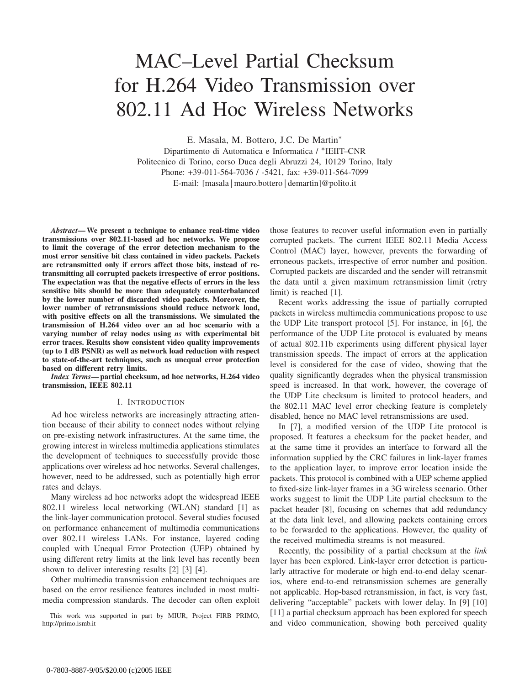# MAC–Level Partial Checksum for H.264 Video Transmission over 802.11 Ad Hoc Wireless Networks

E. Masala, M. Bottero, J.C. De Martin∗ Dipartimento di Automatica e Informatica / ∗IEIIT–CNR Politecnico di Torino, corso Duca degli Abruzzi 24, 10129 Torino, Italy Phone: +39-011-564-7036 / -5421, fax: +39-011-564-7099 E-mail: [masala|mauro.bottero|demartin]@polito.it

*Abstract***—We present a technique to enhance real-time video transmissions over 802.11-based ad hoc networks. We propose to limit the coverage of the error detection mechanism to the most error sensitive bit class contained in video packets. Packets are retransmitted only if errors affect those bits, instead of retransmitting all corrupted packets irrespective of error positions. The expectation was that the negative effects of errors in the less sensitive bits should be more than adequately counterbalanced by the lower number of discarded video packets. Moreover, the lower number of retransmissions should reduce network load, with positive effects on all the transmissions. We simulated the transmission of H.264 video over an ad hoc scenario with a varying number of relay nodes using** *ns* **with experimental bit error traces. Results show consistent video quality improvements (up to 1 dB PSNR) as well as network load reduction with respect to state-of-the-art techniques, such as unequal error protection based on different retry limits.**

*Index Terms***— partial checksum, ad hoc networks, H.264 video transmission, IEEE 802.11**

### I. INTRODUCTION

Ad hoc wireless networks are increasingly attracting attention because of their ability to connect nodes without relying on pre-existing network infrastructures. At the same time, the growing interest in wireless multimedia applications stimulates the development of techniques to successfully provide those applications over wireless ad hoc networks. Several challenges, however, need to be addressed, such as potentially high error rates and delays.

Many wireless ad hoc networks adopt the widespread IEEE 802.11 wireless local networking (WLAN) standard [1] as the link-layer communication protocol. Several studies focused on performance enhancement of multimedia communications over 802.11 wireless LANs. For instance, layered coding coupled with Unequal Error Protection (UEP) obtained by using different retry limits at the link level has recently been shown to deliver interesting results [2] [3] [4].

Other multimedia transmission enhancement techniques are based on the error resilience features included in most multimedia compression standards. The decoder can often exploit

This work was supported in part by MIUR, Project FIRB PRIMO, http://primo.ismb.it

those features to recover useful information even in partially corrupted packets. The current IEEE 802.11 Media Access Control (MAC) layer, however, prevents the forwarding of erroneous packets, irrespective of error number and position. Corrupted packets are discarded and the sender will retransmit the data until a given maximum retransmission limit (retry limit) is reached [1].

Recent works addressing the issue of partially corrupted packets in wireless multimedia communications propose to use the UDP Lite transport protocol [5]. For instance, in [6], the performance of the UDP Lite protocol is evaluated by means of actual 802.11b experiments using different physical layer transmission speeds. The impact of errors at the application level is considered for the case of video, showing that the quality significantly degrades when the physical transmission speed is increased. In that work, however, the coverage of the UDP Lite checksum is limited to protocol headers, and the 802.11 MAC level error checking feature is completely disabled, hence no MAC level retransmissions are used.

In [7], a modified version of the UDP Lite protocol is proposed. It features a checksum for the packet header, and at the same time it provides an interface to forward all the information supplied by the CRC failures in link-layer frames to the application layer, to improve error location inside the packets. This protocol is combined with a UEP scheme applied to fixed-size link-layer frames in a 3G wireless scenario. Other works suggest to limit the UDP Lite partial checksum to the packet header [8], focusing on schemes that add redundancy at the data link level, and allowing packets containing errors to be forwarded to the applications. However, the quality of the received multimedia streams is not measured.

Recently, the possibility of a partial checksum at the *link* layer has been explored. Link-layer error detection is particularly attractive for moderate or high end-to-end delay scenarios, where end-to-end retransmission schemes are generally not applicable. Hop-based retransmission, in fact, is very fast, delivering "acceptable" packets with lower delay. In [9] [10] [11] a partial checksum approach has been explored for speech and video communication, showing both perceived quality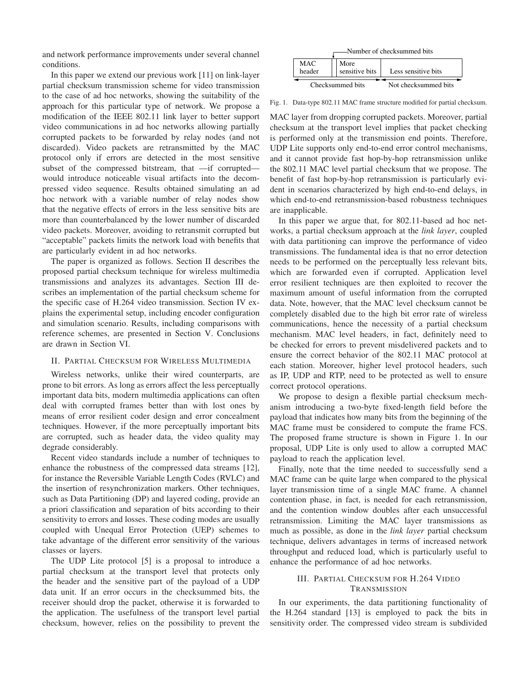and network performance improvements under several channel conditions.

In this paper we extend our previous work [11] on link-layer partial checksum transmission scheme for video transmission to the case of ad hoc networks, showing the suitability of the approach for this particular type of network. We propose a modification of the IEEE 802.11 link layer to better support video communications in ad hoc networks allowing partially corrupted packets to be forwarded by relay nodes (and not discarded). Video packets are retransmitted by the MAC protocol only if errors are detected in the most sensitive subset of the compressed bitstream, that —if corrupted would introduce noticeable visual artifacts into the decompressed video sequence. Results obtained simulating an ad hoc network with a variable number of relay nodes show that the negative effects of errors in the less sensitive bits are more than counterbalanced by the lower number of discarded video packets. Moreover, avoiding to retransmit corrupted but "acceptable" packets limits the network load with benefits that are particularly evident in ad hoc networks.

The paper is organized as follows. Section II describes the proposed partial checksum technique for wireless multimedia transmissions and analyzes its advantages. Section III describes an implementation of the partial checksum scheme for the specific case of H.264 video transmission. Section IV explains the experimental setup, including encoder configuration and simulation scenario. Results, including comparisons with reference schemes, are presented in Section V. Conclusions are drawn in Section VI.

## II. PARTIAL CHECKSUM FOR WIRELESS MULTIMEDIA

Wireless networks, unlike their wired counterparts, are prone to bit errors. As long as errors affect the less perceptually important data bits, modern multimedia applications can often deal with corrupted frames better than with lost ones by means of error resilient coder design and error concealment techniques. However, if the more perceptually important bits are corrupted, such as header data, the video quality may degrade considerably.

Recent video standards include a number of techniques to enhance the robustness of the compressed data streams [12], for instance the Reversible Variable Length Codes (RVLC) and the insertion of resynchronization markers. Other techniques, such as Data Partitioning (DP) and layered coding, provide an a priori classification and separation of bits according to their sensitivity to errors and losses. These coding modes are usually coupled with Unequal Error Protection (UEP) schemes to take advantage of the different error sensitivity of the various classes or layers.

The UDP Lite protocol [5] is a proposal to introduce a partial checksum at the transport level that protects only the header and the sensitive part of the payload of a UDP data unit. If an error occurs in the checksummed bits, the receiver should drop the packet, otherwise it is forwarded to the application. The usefulness of the transport level partial checksum, however, relies on the possibility to prevent the

| -Number of checksummed bits |                        |                      |
|-----------------------------|------------------------|----------------------|
| MAC.<br>header              | More<br>sensitive bits | Less sensitive bits  |
|                             | Checksummed bits       | Not checksummed bits |

Fig. 1. Data-type 802.11 MAC frame structure modified for partial checksum.

MAC layer from dropping corrupted packets. Moreover, partial checksum at the transport level implies that packet checking is performed only at the transmission end points. Therefore, UDP Lite supports only end-to-end error control mechanisms, and it cannot provide fast hop-by-hop retransmission unlike the 802.11 MAC level partial checksum that we propose. The benefit of fast hop-by-hop retransmission is particularly evident in scenarios characterized by high end-to-end delays, in which end-to-end retransmission-based robustness techniques are inapplicable.

In this paper we argue that, for 802.11-based ad hoc networks, a partial checksum approach at the *link layer*, coupled with data partitioning can improve the performance of video transmissions. The fundamental idea is that no error detection needs to be performed on the perceptually less relevant bits, which are forwarded even if corrupted. Application level error resilient techniques are then exploited to recover the maximum amount of useful information from the corrupted data. Note, however, that the MAC level checksum cannot be completely disabled due to the high bit error rate of wireless communications, hence the necessity of a partial checksum mechanism. MAC level headers, in fact, definitely need to be checked for errors to prevent misdelivered packets and to ensure the correct behavior of the 802.11 MAC protocol at each station. Moreover, higher level protocol headers, such as IP, UDP and RTP, need to be protected as well to ensure correct protocol operations.

We propose to design a flexible partial checksum mechanism introducing a two-byte fixed-length field before the payload that indicates how many bits from the beginning of the MAC frame must be considered to compute the frame FCS. The proposed frame structure is shown in Figure 1. In our proposal, UDP Lite is only used to allow a corrupted MAC payload to reach the application level.

Finally, note that the time needed to successfully send a MAC frame can be quite large when compared to the physical layer transmission time of a single MAC frame. A channel contention phase, in fact, is needed for each retransmission, and the contention window doubles after each unsuccessful retransmission. Limiting the MAC layer transmissions as much as possible, as done in the *link layer* partial checksum technique, delivers advantages in terms of increased network throughput and reduced load, which is particularly useful to enhance the performance of ad hoc networks.

# III. PARTIAL CHECKSUM FOR H.264 VIDEO **TRANSMISSION**

In our experiments, the data partitioning functionality of the H.264 standard [13] is employed to pack the bits in sensitivity order. The compressed video stream is subdivided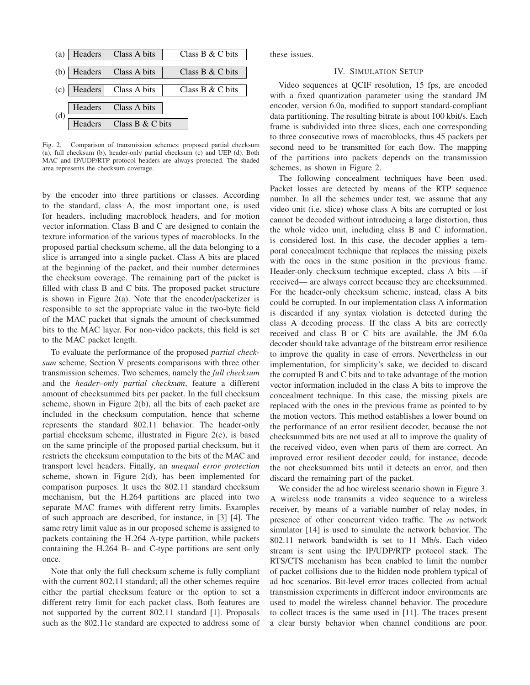|         | Class B $&$ C bits                                                                                                                         |
|---------|--------------------------------------------------------------------------------------------------------------------------------------------|
|         | Class $B \& C$ bits                                                                                                                        |
|         | Class B $&$ C bits                                                                                                                         |
|         |                                                                                                                                            |
|         |                                                                                                                                            |
| Headers | (a)   Headers $\vert$ Class A bits<br>$(b)$ Headers Class A bits<br>$(c)$ Headers Class A bits<br>Class A bits<br>Headers Class B & C bits |

Fig. 2. Comparison of transmission schemes: proposed partial checksum (a), full checksum (b), header-only partial checksum (c) and UEP (d). Both MAC and IP/UDP/RTP protocol headers are always protected. The shaded area represents the checksum coverage.

by the encoder into three partitions or classes. According to the standard, class A, the most important one, is used for headers, including macroblock headers, and for motion vector information. Class B and C are designed to contain the texture information of the various types of macroblocks. In the proposed partial checksum scheme, all the data belonging to a slice is arranged into a single packet. Class A bits are placed at the beginning of the packet, and their number determines the checksum coverage. The remaining part of the packet is filled with class B and C bits. The proposed packet structure is shown in Figure 2(a). Note that the encoder/packetizer is responsible to set the appropriate value in the two-byte field of the MAC packet that signals the amount of checksummed bits to the MAC layer. For non-video packets, this field is set to the MAC packet length.

To evaluate the performance of the proposed *partial checksum* scheme, Section V presents comparisons with three other transmission schemes. Two schemes, namely the *full checksum* and the *header–only partial checksum*, feature a different amount of checksummed bits per packet. In the full checksum scheme, shown in Figure 2(b), all the bits of each packet are included in the checksum computation, hence that scheme represents the standard 802.11 behavior. The header-only partial checksum scheme, illustrated in Figure 2(c), is based on the same principle of the proposed partial checksum, but it restricts the checksum computation to the bits of the MAC and transport level headers. Finally, an *unequal error protection* scheme, shown in Figure 2(d), has been implemented for comparison purposes. It uses the 802.11 standard checksum mechanism, but the H.264 partitions are placed into two separate MAC frames with different retry limits. Examples of such approach are described, for instance, in [3] [4]. The same retry limit value as in our proposed scheme is assigned to packets containing the H.264 A-type partition, while packets containing the H.264 B- and C-type partitions are sent only once.

Note that only the full checksum scheme is fully compliant with the current 802.11 standard; all the other schemes require either the partial checksum feature or the option to set a different retry limit for each packet class. Both features are not supported by the current 802.11 standard [1]. Proposals such as the 802.11e standard are expected to address some of these issues.

## IV. SIMULATION SETUP

Video sequences at QCIF resolution, 15 fps, are encoded with a fixed quantization parameter using the standard JM encoder, version 6.0a, modified to support standard-compliant data partitioning. The resulting bitrate is about 100 kbit/s. Each frame is subdivided into three slices, each one corresponding to three consecutive rows of macroblocks, thus 45 packets per second need to be transmitted for each flow. The mapping of the partitions into packets depends on the transmission schemes, as shown in Figure 2.

The following concealment techniques have been used. Packet losses are detected by means of the RTP sequence number. In all the schemes under test, we assume that any video unit (i.e. slice) whose class A bits are corrupted or lost cannot be decoded without introducing a large distortion, thus the whole video unit, including class B and C information, is considered lost. In this case, the decoder applies a temporal concealment technique that replaces the missing pixels with the ones in the same position in the previous frame. Header-only checksum technique excepted, class A bits —if received— are always correct because they are checksummed. For the header-only checksum scheme, instead, class A bits could be corrupted. In our implementation class A information is discarded if any syntax violation is detected during the class A decoding process. If the class A bits are correctly received and class B or C bits are available, the JM 6.0a decoder should take advantage of the bitstream error resilience to improve the quality in case of errors. Nevertheless in our implementation, for simplicity's sake, we decided to discard the corrupted B and C bits and to take advantage of the motion vector information included in the class A bits to improve the concealment technique. In this case, the missing pixels are replaced with the ones in the previous frame as pointed to by the motion vectors. This method establishes a lower bound on the performance of an error resilient decoder, because the not checksummed bits are not used at all to improve the quality of the received video, even when parts of them are correct. An improved error resilient decoder could, for instance, decode the not checksummed bits until it detects an error, and then discard the remaining part of the packet.

We consider the ad hoc wireless scenario shown in Figure 3. A wireless node transmits a video sequence to a wireless receiver, by means of a variable number of relay nodes, in presence of other concurrent video traffic. The *ns* network simulator [14] is used to simulate the network behavior. The 802.11 network bandwidth is set to 11 Mb/s. Each video stream is sent using the IP/UDP/RTP protocol stack. The RTS/CTS mechanism has been enabled to limit the number of packet collisions due to the hidden node problem typical of ad hoc scenarios. Bit-level error traces collected from actual transmission experiments in different indoor environments are used to model the wireless channel behavior. The procedure to collect traces is the same used in [11]. The traces present a clear bursty behavior when channel conditions are poor.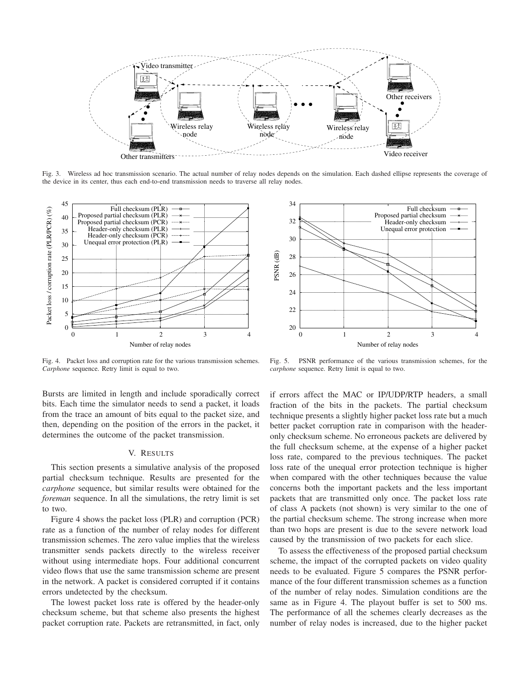

Fig. 3. Wireless ad hoc transmission scenario. The actual number of relay nodes depends on the simulation. Each dashed ellipse represents the coverage of the device in its center, thus each end-to-end transmission needs to traverse all relay nodes.



Fig. 4. Packet loss and corruption rate for the various transmission schemes. *Carphone* sequence. Retry limit is equal to two.

Bursts are limited in length and include sporadically correct bits. Each time the simulator needs to send a packet, it loads from the trace an amount of bits equal to the packet size, and then, depending on the position of the errors in the packet, it determines the outcome of the packet transmission.

## V. RESULTS

This section presents a simulative analysis of the proposed partial checksum technique. Results are presented for the *carphone* sequence, but similar results were obtained for the *foreman* sequence. In all the simulations, the retry limit is set to two.

Figure 4 shows the packet loss (PLR) and corruption (PCR) rate as a function of the number of relay nodes for different transmission schemes. The zero value implies that the wireless transmitter sends packets directly to the wireless receiver without using intermediate hops. Four additional concurrent video flows that use the same transmission scheme are present in the network. A packet is considered corrupted if it contains errors undetected by the checksum.

The lowest packet loss rate is offered by the header-only checksum scheme, but that scheme also presents the highest packet corruption rate. Packets are retransmitted, in fact, only



Fig. 5. PSNR performance of the various transmission schemes, for the *carphone* sequence. Retry limit is equal to two.

if errors affect the MAC or IP/UDP/RTP headers, a small fraction of the bits in the packets. The partial checksum technique presents a slightly higher packet loss rate but a much better packet corruption rate in comparison with the headeronly checksum scheme. No erroneous packets are delivered by the full checksum scheme, at the expense of a higher packet loss rate, compared to the previous techniques. The packet loss rate of the unequal error protection technique is higher when compared with the other techniques because the value concerns both the important packets and the less important packets that are transmitted only once. The packet loss rate of class A packets (not shown) is very similar to the one of the partial checksum scheme. The strong increase when more than two hops are present is due to the severe network load caused by the transmission of two packets for each slice.

To assess the effectiveness of the proposed partial checksum scheme, the impact of the corrupted packets on video quality needs to be evaluated. Figure 5 compares the PSNR performance of the four different transmission schemes as a function of the number of relay nodes. Simulation conditions are the same as in Figure 4. The playout buffer is set to 500 ms. The performance of all the schemes clearly decreases as the number of relay nodes is increased, due to the higher packet